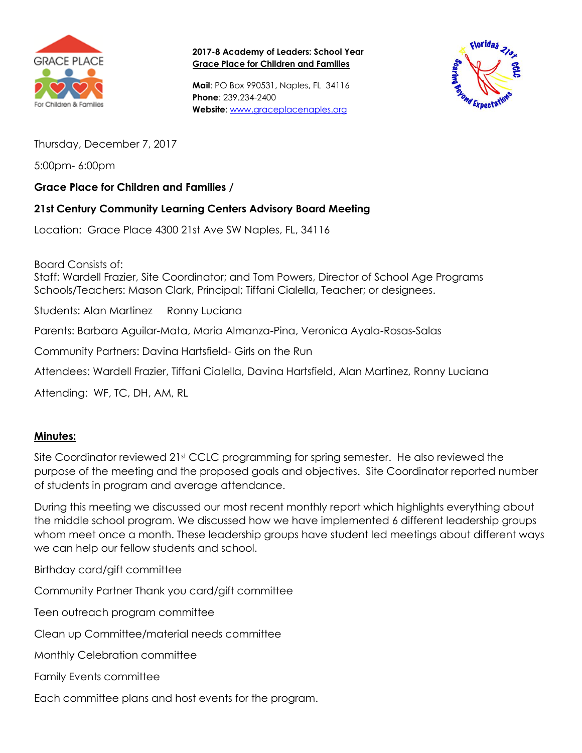

**2017-8 Academy of Leaders: School Year Grace Place for Children and Families**

**Mail**: PO Box 990531, Naples, FL 34116 **Phone**: 239.234-2400 **Website**: [www.graceplacenaples.org](http://www.graceplacenaples.org/)



Thursday, December 7, 2017

5:00pm- 6:00pm

## **Grace Place for Children and Families /**

## **21st Century Community Learning Centers Advisory Board Meeting**

Location: Grace Place 4300 21st Ave SW Naples, FL, 34116

Board Consists of: Staff: Wardell Frazier, Site Coordinator; and Tom Powers, Director of School Age Programs Schools/Teachers: Mason Clark, Principal; Tiffani Cialella, Teacher; or designees.

Students: Alan Martinez Ronny Luciana

Parents: Barbara Aguilar-Mata, Maria Almanza-Pina, Veronica Ayala-Rosas-Salas

Community Partners: Davina Hartsfield- Girls on the Run

Attendees: Wardell Frazier, Tiffani Cialella, Davina Hartsfield, Alan Martinez, Ronny Luciana

Attending: WF, TC, DH, AM, RL

## **Minutes:**

Site Coordinator reviewed 21<sup>st</sup> CCLC programming for spring semester. He also reviewed the purpose of the meeting and the proposed goals and objectives. Site Coordinator reported number of students in program and average attendance.

During this meeting we discussed our most recent monthly report which highlights everything about the middle school program. We discussed how we have implemented 6 different leadership groups whom meet once a month. These leadership groups have student led meetings about different ways we can help our fellow students and school.

Birthday card/gift committee

Community Partner Thank you card/gift committee

Teen outreach program committee

Clean up Committee/material needs committee

Monthly Celebration committee

Family Events committee

Each committee plans and host events for the program.